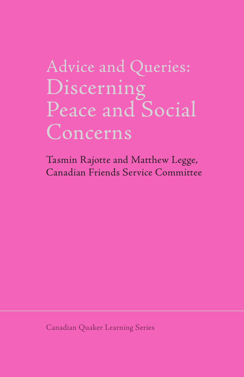# Discerning Peace and Social Concerns

Tasmin Rajotte and Matthew Legge, Canadian Friends Service Committee

Canadian Quaker Learning Series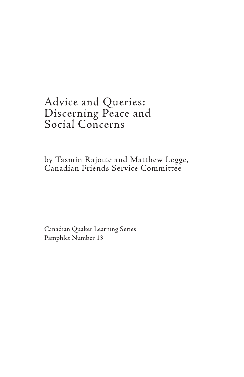# Advice and Queries: Discerning Peace and Social Concerns

by Tasmin Rajotte and Matthew Legge, Canadian Friends Service Committee

Canadian Quaker Learning Series Pamphlet Number 13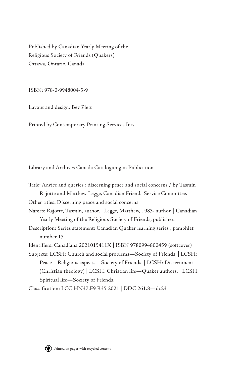Published by Canadian Yearly Meeting of the Religious Society of Friends (Quakers) Ottawa, Ontario, Canada

ISBN: 978-0-9948004-5-9

Layout and design: Bev Plett

Printed by Contemporary Printing Services Inc.

Library and Archives Canada Cataloguing in Publication

| Title: Advice and queries : discerning peace and social concerns / by Tasmin |
|------------------------------------------------------------------------------|
| Rajotte and Matthew Legge, Canadian Friends Service Committee.               |
| Other titles: Discerning peace and social concerns                           |
| Names: Rajotte, Tasmin, author.   Legge, Matthew, 1983- author.   Canadian   |
| Yearly Meeting of the Religious Society of Friends, publisher.               |
| Description: Series statement: Canadian Quaker learning series ; pamphlet    |
| number 13                                                                    |
| Identifiers: Canadiana 2021015411X   ISBN 9780994800459 (softcover)          |
| Subjects: LCSH: Church and social problems—Society of Friends.   LCSH:       |
| Peace—Religious aspects—Society of Friends.   LCSH: Discernment              |
| (Christian theology)   LCSH: Christian life-Quaker authors.   LCSH:          |
| Spiritual life-Society of Friends.                                           |
| Classification: LCC HN37.F9 R35 2021   DDC 261.8-dc23                        |

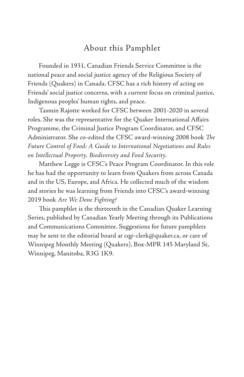# About this Pamphlet

Founded in 1931, Canadian Friends Service Committee is the national peace and social justice agency of the Religious Society of Friends (Quakers) in Canada. CFSC has a rich history of acting on Friends' social justice concerns, with a current focus on criminal justice, Indigenous peoples' human rights, and peace.

Tasmin Rajotte worked for CFSC between 2001-2020 in several roles. She was the representative for the Quaker International Affairs Programme, the Criminal Justice Program Coordinator, and CFSC Administrator. She co-edited the CFSC award-winning 2008 book *The Future Control of Food: A Guide to International Negotiations and Rules on Intellectual Property, Biodiversity and Food Security*.

Matthew Legge is CFSC's Peace Program Coordinator. In this role he has had the opportunity to learn from Quakers from across Canada and in the US, Europe, and Africa. He collected much of the wisdom and stories he was learning from Friends into CFSC's award-winning 2019 book *Are We Done Fighting?*

This pamphlet is the thirteenth in the Canadian Quaker Learning Series, published by Canadian Yearly Meeting through its Publications and Communications Committee. Suggestions for future pamphlets may be sent to the editorial board at cqp-clerk@quaker.ca, or care of Winnipeg Monthly Meeting (Quakers), Box-MPR 145 Maryland St, Winnipeg, Manitoba, R3G 1K9.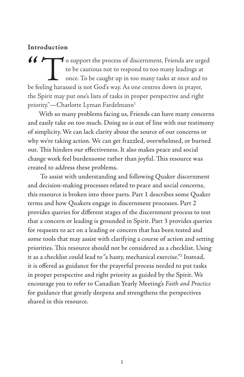#### **Introduction**

To support the process of discernment, Friends are urged<br>to be cautious not to respond to too many leadings at<br>once. To be caught up in too many tasks at once and to<br>be feeling harassed is not God's way. As one centres dow to be cautious not to respond to too many leadings at once. To be caught up in too many tasks at once and to be feeling harassed is not God's way. As one centres down in prayer, the Spirit may put one's lists of tasks in proper perspective and right priority."-Charlotte Lyman Fardelmann<sup>1</sup>

With so many problems facing us, Friends can have many concerns and easily take on too much. Doing so is out of line with our testimony of simplicity. We can lack clarity about the source of our concerns or why we're taking action. We can get frazzled, overwhelmed, or burned out. This hinders our effectiveness. It also makes peace and social change work feel burdensome rather than joyful. This resource was created to address these problems.

 To assist with understanding and following Quaker discernment and decision-making processes related to peace and social concerns, this resource is broken into three parts. Part 1 describes some Quaker terms and how Quakers engage in discernment processes. Part 2 provides queries for different stages of the discernment process to test that a concern or leading is grounded in Spirit. Part 3 provides queries for requests to act on a leading or concern that has been tested and some tools that may assist with clarifying a course of action and setting priorities. This resource should not be considered as a checklist. Using it as a checklist could lead to "a hasty, mechanical exercise."2 Instead, it is offered as guidance for the prayerful process needed to put tasks in proper perspective and right priority as guided by the Spirit. We encourage you to refer to Canadian Yearly Meeting's *Faith and Practice* for guidance that greatly deepens and strengthens the perspectives shared in this resource.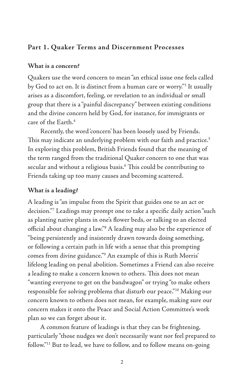# **Part 1. Quaker Terms and Discernment Processes**

#### **What is a concern?**

Quakers use the word concern to mean "an ethical issue one feels called by God to act on. It is distinct from a human care or worry."3 It usually arises as a discomfort, feeling, or revelation to an individual or small group that there is a "painful discrepancy" between existing conditions and the divine concern held by God, for instance, for immigrants or care of the Earth.<sup>4</sup>

 Recently, the word 'concern' has been loosely used by Friends. This may indicate an underlying problem with our faith and practice.<sup>5</sup> In exploring this problem, British Friends found that the meaning of the term ranged from the traditional Quaker concern to one that was secular and without a religious basis.<sup>6</sup> This could be contributing to Friends taking up too many causes and becoming scattered.

# **What is a leading?**

A leading is "an impulse from the Spirit that guides one to an act or decision."7 Leadings may prompt one to take a specific daily action "such as planting native plants in one's flower beds, or talking to an elected official about changing a law."8 A leading may also be the experience of "being persistently and insistently drawn towards doing something, or following a certain path in life with a sense that this prompting comes from divine guidance."9 An example of this is Ruth Morris' lifelong leading on penal abolition. Sometimes a Friend can also receive a leading to make a concern known to others. This does not mean "wanting everyone to get on the bandwagon" or trying "to make others responsible for solving problems that disturb our peace."10 Making our concern known to others does not mean, for example, making sure our concern makes it onto the Peace and Social Action Committee's work plan so we can forget about it.

 A common feature of leadings is that they can be frightening, particularly "those nudges we don't necessarily want nor feel prepared to follow."11 But to lead, we have to follow, and to follow means on-going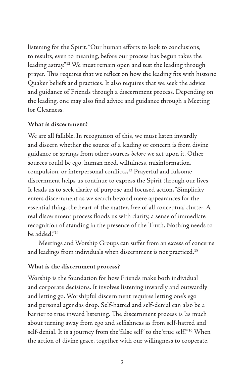listening for the Spirit. "Our human efforts to look to conclusions, to results, even to meaning, before our process has begun takes the leading astray."12 We must remain open and test the leading through prayer. This requires that we reflect on how the leading fits with historic Quaker beliefs and practices. It also requires that we seek the advice and guidance of Friends through a discernment process. Depending on the leading, one may also find advice and guidance through a Meeting for Clearness.

#### **What is discernment?**

We are all fallible. In recognition of this, we must listen inwardly and discern whether the source of a leading or concern is from divine guidance or springs from other sources *before* we act upon it. Other sources could be ego, human need, wilfulness, misinformation, compulsion, or interpersonal conflicts.13 Prayerful and fulsome discernment helps us continue to express the Spirit through our lives. It leads us to seek clarity of purpose and focused action. "Simplicity enters discernment as we search beyond mere appearances for the essential thing, the heart of the matter, free of all conceptual clutter. A real discernment process floods us with clarity, a sense of immediate recognition of standing in the presence of the Truth. Nothing needs to be added."14

Meetings and Worship Groups can suffer from an excess of concerns and leadings from individuals when discernment is not practiced.<sup>15</sup>

#### **What is the discernment process?**

Worship is the foundation for how Friends make both individual and corporate decisions. It involves listening inwardly and outwardly and letting go. Worshipful discernment requires letting one's ego and personal agendas drop. Self-hatred and self-denial can also be a barrier to true inward listening. The discernment process is "as much about turning away from ego and selfishness as from self-hatred and self-denial. It is a journey from the 'false self' to the 'true self."<sup>16</sup> When the action of divine grace, together with our willingness to cooperate,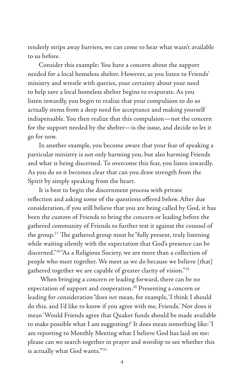tenderly strips away barriers, we can come to hear what wasn't available to us before.

Consider this example: You have a concern about the support needed for a local homeless shelter. However, as you listen to Friends' ministry and wrestle with queries, your certainty about your need to help save a local homeless shelter begins to evaporate. As you listen inwardly, you begin to realize that your compulsion to do so actually stems from a deep need for acceptance and making yourself indispensable. You then realize that this compulsion—not the concern for the support needed by the shelter—is the issue, and decide to let it go for now.

In another example, you become aware that your fear of speaking a particular ministry is not only harming you, but also harming Friends and what is being discerned. To overcome this fear, you listen inwardly. As you do so it becomes clear that can you draw strength from the Spirit by simply speaking from the heart.

It is best to begin the discernment process with private reflection and asking some of the questions offered below. After due consideration, if you still believe that you are being called by God, it has been the custom of Friends to bring the concern or leading before the gathered community of Friends to further test it against the counsel of the group.17 The gathered group must be "fully present, truly listening while waiting silently with the expectation that God's presence can be discerned."18 "As a Religious Society, we are more than a collection of people who meet together. We meet as we do because we believe [that] gathered together we are capable of greater clarity of vision."19

 When bringing a concern or leading forward, there can be no expectation of support and cooperation.<sup>20</sup> Presenting a concern or leading for consideration "does *not* mean, for example, 'I think I should do this, and I'd like to know if you agree with me, Friends.' Nor does it mean 'Would Friends agree that Quaker funds should be made available to make possible what I am suggesting?' It does mean something like: 'I am reporting to Monthly Meeting what I believe God has laid on me: please can we search together in prayer and worship to see whether this is actually what God wants.'"21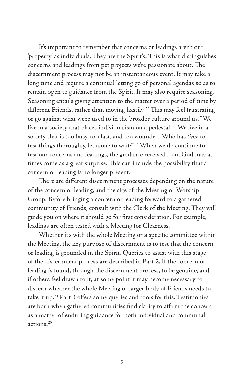It's important to remember that concerns or leadings aren't our 'property' as individuals. They are the Spirit's. This is what distinguishes concerns and leadings from pet projects we're passionate about. The discernment process may not be an instantaneous event. It may take a long time and require a continual letting go of personal agendas so as to remain open to guidance from the Spirit. It may also require seasoning. Seasoning entails giving attention to the matter over a period of time by different Friends, rather than moving hastily.<sup>22</sup> This may feel frustrating or go against what we're used to in the broader culture around us. "We live in a society that places individualism on a pedestal… We live in a society that is too busy, too fast, and too wounded. Who has *time* to test things thoroughly, let alone to wait?"23 When we do continue to test our concerns and leadings, the guidance received from God may at times come as a great surprise. This can include the possibility that a concern or leading is no longer present.

There are different discernment processes depending on the nature of the concern or leading, and the size of the Meeting or Worship Group. Before bringing a concern or leading forward to a gathered community of Friends, consult with the Clerk of the Meeting. They will guide you on where it should go for first consideration. For example, leadings are often tested with a Meeting for Clearness.

Whether it's with the whole Meeting or a specific committee within the Meeting, the key purpose of discernment is to test that the concern or leading is grounded in the Spirit. Queries to assist with this stage of the discernment process are described in Part 2. If the concern or leading is found, through the discernment process, to be genuine, and if others feel drawn to it, at some point it may become necessary to discern whether the whole Meeting or larger body of Friends needs to take it up.<sup>24</sup> Part 3 offers some queries and tools for this. Testimonies are born when gathered communities find clarity to affirm the concern as a matter of enduring guidance for both individual and communal actions.25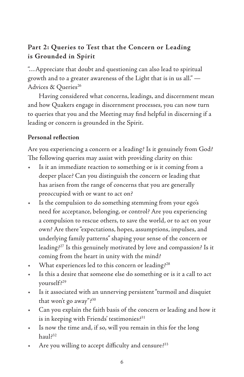# **Part 2: Queries to Test that the Concern or Leading is Grounded in Spirit**

"…Appreciate that doubt and questioning can also lead to spiritual growth and to a greater awareness of the Light that is in us all." — Advices & Queries<sup>26</sup>

Having considered what concerns, leadings, and discernment mean and how Quakers engage in discernment processes, you can now turn to queries that you and the Meeting may find helpful in discerning if a leading or concern is grounded in the Spirit.

#### **Personal reflection**

Are you experiencing a concern or a leading? Is it genuinely from God? The following queries may assist with providing clarity on this:

- Is it an immediate reaction to something or is it coming from a deeper place? Can you distinguish the concern or leading that has arisen from the range of concerns that you are generally preoccupied with or want to act on?
- Is the compulsion to do something stemming from your ego's need for acceptance, belonging, or control? Are you experiencing a compulsion to rescue others, to save the world, or to act on your own? Are there "expectations, hopes, assumptions, impulses, and underlying family patterns" shaping your sense of the concern or leading?27 Is this genuinely motivated by love and compassion? Is it coming from the heart in unity with the mind?
- What experiences led to this concern or leading?28
- Is this a desire that someone else do something or is it a call to act yourself?29
- Is it associated with an unnerving persistent "turmoil and disquiet that won't go away"?30
- Can you explain the faith basis of the concern or leading and how it is in keeping with Friends' testimonies?<sup>31</sup>
- Is now the time and, if so, will you remain in this for the long  $h$ aul $^{32}$
- Are you willing to accept difficulty and censure?33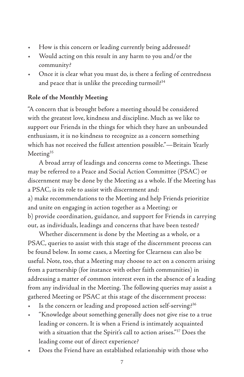- How is this concern or leading currently being addressed?
- Would acting on this result in any harm to you and/or the community?
- Once it is clear what you must do, is there a feeling of centredness and peace that is unlike the preceding turmoil?<sup>34</sup>

### **Role of the Monthly Meeting**

"A concern that is brought before a meeting should be considered with the greatest love, kindness and discipline. Much as we like to support our Friends in the things for which they have an unbounded enthusiasm, it is no kindness to recognize as a concern something which has not received the fullest attention possible."—Britain Yearly Meeting<sup>35</sup>

A broad array of leadings and concerns come to Meetings. These may be referred to a Peace and Social Action Committee (PSAC) or discernment may be done by the Meeting as a whole. If the Meeting has a PSAC, is its role to assist with discernment and: a) make recommendations to the Meeting and help Friends prioritize and unite on engaging in action together as a Meeting; or b) provide coordination, guidance, and support for Friends in carrying out, as individuals, leadings and concerns that have been tested?

Whether discernment is done by the Meeting as a whole, or a PSAC, queries to assist with this stage of the discernment process can be found below. In some cases, a Meeting for Clearness can also be useful. Note, too, that a Meeting may choose to act on a concern arising from a partnership (for instance with other faith communities) in addressing a matter of common interest even in the absence of a leading from any individual in the Meeting. The following queries may assist a gathered Meeting or PSAC at this stage of the discernment process:

- Is the concern or leading and proposed action self-serving?<sup>36</sup>
- "Knowledge about something generally does not give rise to a true leading or concern. It is when a Friend is intimately acquainted with a situation that the Spirit's call to action arises."<sup>37</sup> Does the leading come out of direct experience?
- Does the Friend have an established relationship with those who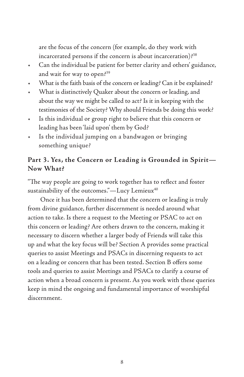are the focus of the concern (for example, do they work with incarcerated persons if the concern is about incarceration)?<sup>38</sup>

- Can the individual be patient for better clarity and others' guidance, and wait for way to open?<sup>39</sup>
- What is the faith basis of the concern or leading? Can it be explained?
- What is distinctively Quaker about the concern or leading, and about the way we might be called to act? Is it in keeping with the testimonies of the Society? Why should Friends be doing this work?
- Is this individual or group right to believe that this concern or leading has been 'laid upon' them by God?
- Is the individual jumping on a bandwagon or bringing something unique?

#### **Part 3. Yes, the Concern or Leading is Grounded in Spirit— Now What?**

"The way people are going to work together has to reflect and foster sustainability of the outcomes."—Lucy Lemieux<sup>40</sup>

 Once it has been determined that the concern or leading is truly from divine guidance, further discernment is needed around what action to take. Is there a request to the Meeting or PSAC to act on this concern or leading? Are others drawn to the concern, making it necessary to discern whether a larger body of Friends will take this up and what the key focus will be? Section A provides some practical queries to assist Meetings and PSACs in discerning requests to act on a leading or concern that has been tested. Section B offers some tools and queries to assist Meetings and PSACs to clarify a course of action when a broad concern is present. As you work with these queries keep in mind the ongoing and fundamental importance of worshipful discernment.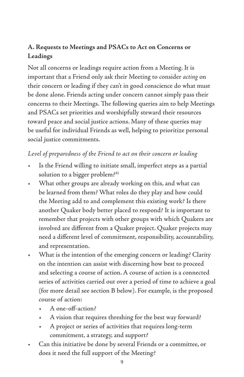# **A. Requests to Meetings and PSACs to Act on Concerns or Leadings**

Not all concerns or leadings require action from a Meeting. It is important that a Friend only ask their Meeting to consider *acting* on their concern or leading if they can't in good conscience do what must be done alone. Friends acting under concern cannot simply pass their concerns to their Meetings. The following queries aim to help Meetings and PSACs set priorities and worshipfully steward their resources toward peace and social justice actions. Many of these queries may be useful for individual Friends as well, helping to prioritize personal social justice commitments.

#### *Level of preparedness of the Friend to act on their concern or leading*

- Is the Friend willing to initiate small, imperfect steps as a partial solution to a bigger problem?<sup>41</sup>
- What other groups are already working on this, and what can be learned from them? What roles do they play and how could the Meeting add to and complement this existing work? Is there another Quaker body better placed to respond? It is important to remember that projects with other groups with which Quakers are involved are different from a Quaker project. Quaker projects may need a different level of commitment, responsibility, accountability, and representation.
- What is the intention of the emerging concern or leading? Clarity on the intention can assist with discerning how best to proceed and selecting a course of action. A course of action is a connected series of activities carried out over a period of time to achieve a goal (for more detail see section B below). For example, is the proposed course of action:
	- A one-off-action?
	- A vision that requires threshing for the best way forward?
	- A project or series of activities that requires long-term commitment, a strategy, and support?
- Can this initiative be done by several Friends or a committee, or does it need the full support of the Meeting?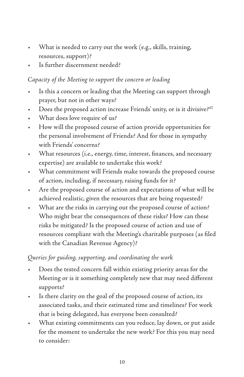- What is needed to carry out the work (e.g., skills, training, resources, support)?
- Is further discernment needed?

### *Capacity of the Meeting to support the concern or leading*

- Is this a concern or leading that the Meeting can support through prayer, but not in other ways?
- Does the proposed action increase Friends' unity, or is it divisive?<sup>42</sup>
- What does love require of us?
- How will the proposed course of action provide opportunities for the personal involvement of Friends? And for those in sympathy with Friends' concerns?
- What resources (i.e., energy, time, interest, finances, and necessary expertise) are available to undertake this work?
- What commitment will Friends make towards the proposed course of action, including, if necessary, raising funds for it?
- Are the proposed course of action and expectations of what will be achieved realistic, given the resources that are being requested?
- What are the risks in carrying out the proposed course of action? Who might bear the consequences of these risks? How can these risks be mitigated? Is the proposed course of action and use of resources compliant with the Meeting's charitable purposes (as filed with the Canadian Revenue Agency)?

*Queries for guiding, supporting, and coordinating the work*

- Does the tested concern fall within existing priority areas for the Meeting or is it something completely new that may need different supports?
- Is there clarity on the goal of the proposed course of action, its associated tasks, and their estimated time and timelines? For work that is being delegated, has everyone been consulted?
- What existing commitments can you reduce, lay down, or put aside for the moment to undertake the new work? For this you may need to consider: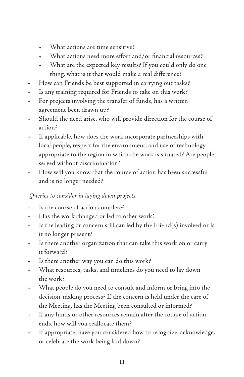- What actions are time sensitive?
- What actions need more effort and/or financial resources?
- What are the expected key results? If you could only do one thing, what is it that would make a real difference?
- How can Friends be best supported in carrying out tasks?
- Is any training required for Friends to take on this work?
- For projects involving the transfer of funds, has a written agreement been drawn up?
- Should the need arise, who will provide direction for the course of action?
- If applicable, how does the work incorporate partnerships with local people, respect for the environment, and use of technology appropriate to the region in which the work is situated? Are people served without discrimination?
- How will you know that the course of action has been successful and is no longer needed?

 *Queries to consider in laying down projects*

- Is the course of action complete?
- Has the work changed or led to other work?
- Is the leading or concern still carried by the Friend(s) involved or is it no longer present?
- Is there another organization that can take this work on or carry it forward?
- Is there another way you can do this work?
- What resources, tasks, and timelines do you need to lay down the work?
- What people do you need to consult and inform or bring into the decision-making process? If the concern is held under the care of the Meeting, has the Meeting been consulted or informed?
- If any funds or other resources remain after the course of action ends, how will you reallocate them?
- If appropriate, have you considered how to recognize, acknowledge, or celebrate the work being laid down?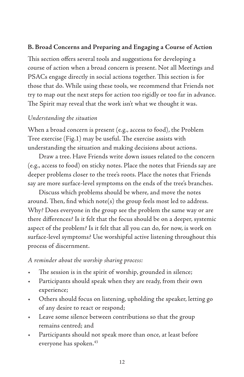#### **B. Broad Concerns and Preparing and Engaging a Course of Action**

This section offers several tools and suggestions for developing a course of action when a broad concern is present. Not all Meetings and PSACs engage directly in social actions together. This section is for those that do. While using these tools, we recommend that Friends not try to map out the next steps for action too rigidly or too far in advance. The Spirit may reveal that the work isn't what we thought it was.

#### *Understanding the situation*

When a broad concern is present (e.g., access to food), the Problem Tree exercise (Fig.1) may be useful. The exercise assists with understanding the situation and making decisions about actions.

Draw a tree. Have Friends write down issues related to the concern (e.g., access to food) on sticky notes. Place the notes that Friends say are deeper problems closer to the tree's roots. Place the notes that Friends say are more surface-level symptoms on the ends of the tree's branches.

Discuss which problems should be where, and move the notes around. Then, find which note(s) the group feels most led to address. Why? Does everyone in the group see the problem the same way or are there differences? Is it felt that the focus should be on a deeper, systemic aspect of the problem? Is it felt that all you can do, for now, is work on surface-level symptoms? Use worshipful active listening throughout this process of discernment.

*A reminder about the worship sharing process:*

- The session is in the spirit of worship, grounded in silence;
- Participants should speak when they are ready, from their own experience;
- Others should focus on listening, upholding the speaker, letting go of any desire to react or respond;
- Leave some silence between contributions so that the group remains centred; and
- Participants should not speak more than once, at least before everyone has spoken.<sup>43</sup>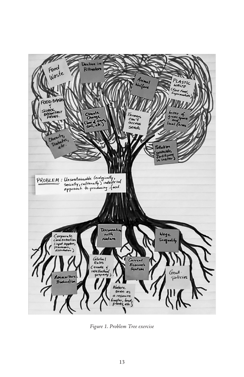

*Figure 1. Problem Tree exercise*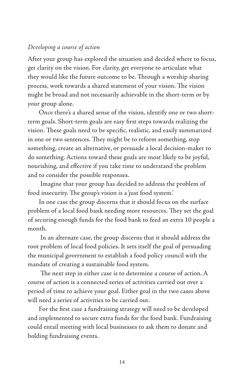#### *Developing a course of action*

After your group has explored the situation and decided where to focus, get clarity on the vision. For clarity, get everyone to articulate what they would like the future outcome to be. Through a worship sharing process, work towards a shared statement of your vision. The vision might be broad and not necessarily achievable in the short-term or by your group alone.

Once there's a shared sense of the vision, identify one or two shortterm goals. Short-term goals are easy first steps towards realizing the vision. These goals need to be specific, realistic, and easily summarized in one or two sentences. They might be to reform something, stop something, create an alternative, or persuade a local decision-maker to do something. Actions toward these goals are most likely to be joyful, nourishing, and effective if you take time to understand the problem and to consider the possible responses.

 Imagine that your group has decided to address the problem of food insecurity. The group's vision is a 'just food system.'

In one case the group discerns that it should focus on the surface problem of a local food bank needing more resources. They set the goal of securing enough funds for the food bank to feed an extra 10 people a month.

 In an alternate case, the group discerns that it should address the root problem of local food policies. It sets itself the goal of persuading the municipal government to establish a food policy council with the mandate of creating a sustainable food system.

 The next step in either case is to determine a course of action. A course of action is a connected series of activities carried out over a period of time to achieve your goal. Either goal in the two cases above will need a series of activities to be carried out.

For the first case a fundraising strategy will need to be developed and implemented to secure extra funds for the food bank. Fundraising could entail meeting with local businesses to ask them to donate and holding fundraising events.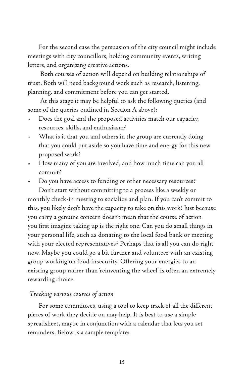For the second case the persuasion of the city council might include meetings with city councillors, holding community events, writing letters, and organizing creative actions.

 Both courses of action will depend on building relationships of trust. Both will need background work such as research, listening, planning, and commitment before you can get started.

 At this stage it may be helpful to ask the following queries (and some of the queries outlined in Section A above):

- Does the goal and the proposed activities match our capacity, resources, skills, and enthusiasm?
- What is it that you and others in the group are currently doing that you could put aside so you have time and energy for this new proposed work?
- How many of you are involved, and how much time can you all commit?
- Do you have access to funding or other necessary resources?

Don't start without committing to a process like a weekly or monthly check-in meeting to socialize and plan. If you can't commit to this, you likely don't have the capacity to take on this work! Just because you carry a genuine concern doesn't mean that the course of action you first imagine taking up is the right one. Can you do small things in your personal life, such as donating to the local food bank or meeting with your elected representatives? Perhaps that is all you can do right now. Maybe you could go a bit further and volunteer with an existing group working on food insecurity. Offering your energies to an existing group rather than 'reinventing the wheel' is often an extremely rewarding choice.

#### *Tracking various courses of action*

For some committees, using a tool to keep track of all the different pieces of work they decide on may help. It is best to use a simple spreadsheet, maybe in conjunction with a calendar that lets you set reminders. Below is a sample template: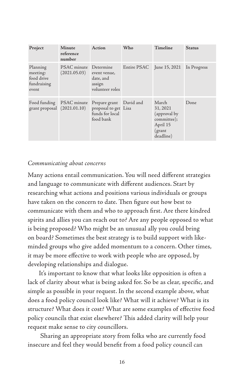| Project                                                    | Minute<br>reference<br>number         | Action                                                                | Who                       | Timeline                                                                             | <b>Status</b> |
|------------------------------------------------------------|---------------------------------------|-----------------------------------------------------------------------|---------------------------|--------------------------------------------------------------------------------------|---------------|
| Planning<br>meeting:<br>food drive<br>fundraising<br>event | PSAC minute Determine<br>(2021.05.03) | event venue,<br>date, and<br>assign<br>volunteer roles                | Entire PSAC June 15, 2021 |                                                                                      | In Progress   |
| Food funding<br>grant proposal (2021.01.10)                | PSAC minute                           | Prepare grant<br>proposal to get Lisa<br>funds for local<br>food bank | David and                 | March<br>31, 2021<br>(approval by)<br>committee);<br>April 15<br>(grant<br>deadline) | Done          |

#### *Communicating about concerns*

Many actions entail communication. You will need different strategies and language to communicate with different audiences. Start by researching what actions and positions various individuals or groups have taken on the concern to date. Then figure out how best to communicate with them and who to approach first. Are there kindred spirits and allies you can reach out to? Are any people opposed to what is being proposed? Who might be an unusual ally you could bring on board? Sometimes the best strategy is to build support with likeminded groups who give added momentum to a concern. Other times, it may be more effective to work with people who are opposed, by developing relationships and dialogue.

It's important to know that what looks like opposition is often a lack of clarity about what is being asked for. So be as clear, specific, and simple as possible in your request. In the second example above, what does a food policy council look like? What will it achieve? What is its structure? What does it cost? What are some examples of effective food policy councils that exist elsewhere? This added clarity will help your request make sense to city councillors.

 Sharing an appropriate story from folks who are currently food insecure and feel they would benefit from a food policy council can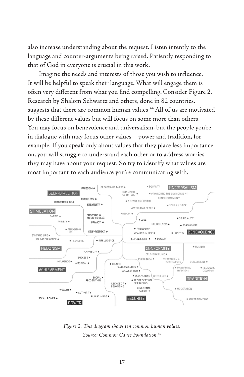also increase understanding about the request. Listen intently to the language and counter-arguments being raised. Patiently responding to that of God in everyone is crucial in this work.

Imagine the needs and interests of those you wish to influence. It will be helpful to speak their language. What will engage them is often very different from what you find compelling. Consider Figure 2. Research by Shalom Schwartz and others, done in 82 countries, suggests that there are common human values.<sup>44</sup> All of us are motivated by these different values but will focus on some more than others. You may focus on benevolence and universalism, but the people you're in dialogue with may focus other values—power and tradition, for example. If you speak only about values that they place less importance on, you will struggle to understand each other or to address worries they may have about your request. So try to identify what values are most important to each audience you're communicating with.



*Figure 2. This diagram shows ten common human values. Source: Common Cause Foundation.45*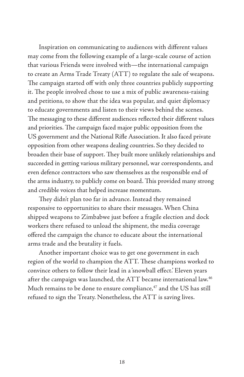Inspiration on communicating to audiences with different values may come from the following example of a large-scale course of action that various Friends were involved with—the international campaign to create an Arms Trade Treaty (ATT) to regulate the sale of weapons. The campaign started off with only three countries publicly supporting it. The people involved chose to use a mix of public awareness-raising and petitions, to show that the idea was popular, and quiet diplomacy to educate governments and listen to their views behind the scenes. The messaging to these different audiences reflected their different values and priorities. The campaign faced major public opposition from the US government and the National Rifle Association. It also faced private opposition from other weapons dealing countries. So they decided to broaden their base of support. They built more unlikely relationships and succeeded in getting various military personnel, war correspondents, and even defence contractors who saw themselves as the responsible end of the arms industry, to publicly come on board. This provided many strong and credible voices that helped increase momentum.

They didn't plan too far in advance. Instead they remained responsive to opportunities to share their messages. When China shipped weapons to Zimbabwe just before a fragile election and dock workers there refused to unload the shipment, the media coverage offered the campaign the chance to educate about the international arms trade and the brutality it fuels.

Another important choice was to get one government in each region of the world to champion the ATT. These champions worked to convince others to follow their lead in a 'snowball effect.' Eleven years after the campaign was launched, the ATT became international law.46 Much remains to be done to ensure compliance,<sup>47</sup> and the US has still refused to sign the Treaty. Nonetheless, the ATT is saving lives.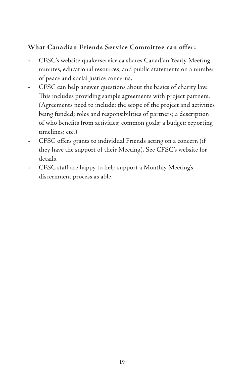# **What Canadian Friends Service Committee can offer:**

- CFSC's website quakerservice.ca shares Canadian Yearly Meeting minutes, educational resources, and public statements on a number of peace and social justice concerns.
- CFSC can help answer questions about the basics of charity law. This includes providing sample agreements with project partners. (Agreements need to include: the scope of the project and activities being funded; roles and responsibilities of partners; a description of who benefits from activities; common goals; a budget; reporting timelines; etc.)
- CFSC offers grants to individual Friends acting on a concern (if they have the support of their Meeting). See CFSC's website for details.
- CFSC staff are happy to help support a Monthly Meeting's discernment process as able.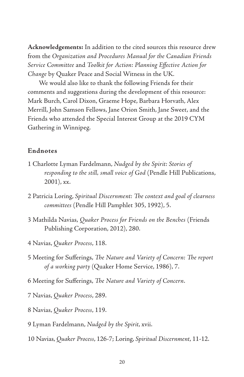**Acknowledgements:** In addition to the cited sources this resource drew from the *Organization and Procedures Manual for the Canadian Friends Service Committee* and *Toolkit for Action: Planning Effective Action for Change* by Quaker Peace and Social Witness in the UK*.*

We would also like to thank the following Friends for their comments and suggestions during the development of this resource: Mark Burch, Carol Dixon, Graeme Hope, Barbara Horvath, Alex Merrill, John Samson Fellows, Jane Orion Smith, Jane Sweet, and the Friends who attended the Special Interest Group at the 2019 CYM Gathering in Winnipeg.

#### **Endnotes**

- 1 Charlotte Lyman Fardelmann, *Nudged by the Spirit: Stories of responding to the still, small voice of God* (Pendle Hill Publications, 2001), xx.
- 2 Patricia Loring, *Spiritual Discernment: The context and goal of clearness committees* (Pendle Hill Pamphlet 305, 1992), 5.
- 3 Mathilda Navias, *Quaker Process for Friends on the Benches* (Friends Publishing Corporation, 2012), 280.
- 4 Navias, *Quaker Process*, 118.
- 5 Meeting for Sufferings, *The Nature and Variety of Concern: The report of a working party* (Quaker Home Service, 1986), 7.
- 6 Meeting for Sufferings, *The Nature and Variety of Concern*.
- 7 Navias, *Quaker Process*, 289.
- 8 Navias, *Quaker Process*, 119.
- 9 Lyman Fardelmann, *Nudged by the Spirit*, xvii.
- 10 Navias, *Quaker Process*, 126-7; Loring, *Spiritual Discernment*, 11-12.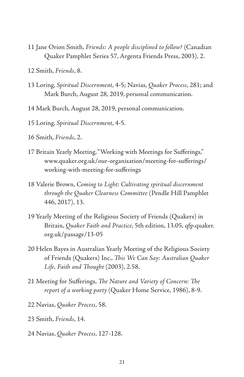- 11 Jane Orion Smith, *Friends: A people disciplined to follow?* (Canadian Quaker Pamphlet Series 57, Argenta Friends Press, 2003), 2.
- 12 Smith, *Friends*, 8.
- 13 Loring, *Spiritual Discernment*, 4-5; Navias, *Quaker Process*, 281; and Mark Burch, August 28, 2019, personal communication.
- 14 Mark Burch, August 28, 2019, personal communication.
- 15 Loring, *Spiritual Discernment*, 4-5.
- 16 Smith, *Friends*, 2.
- 17 Britain Yearly Meeting, "Working with Meetings for Sufferings," www.quaker.org.uk/our-organisation/meeting-for-sufferings/ working-with-meeting-for-sufferings
- 18 Valerie Brown, *Coming to Light: Cultivating spiritual discernment through the Quaker Clearness Committee* (Pendle Hill Pamphlet 446, 2017), 13.
- 19 Yearly Meeting of the Religious Society of Friends (Quakers) in Britain, *Quaker Faith and Practice*, 5th edition, 13.05, qfp.quaker. org.uk/passage/13-05
- 20 Helen Bayes in Australian Yearly Meeting of the Religious Society of Friends (Quakers) Inc., *This We Can Say: Australian Quaker Life, Faith and Thought* (2003), 2.58.
- 21 Meeting for Sufferings, *The Nature and Variety of Concern: The report of a working party* (Quaker Home Service, 1986), 8-9.
- 22 Navias, *Quaker Process*, 58.
- 23 Smith, *Friends*, 14.
- 24 Navias, *Quaker Process*, 127-128.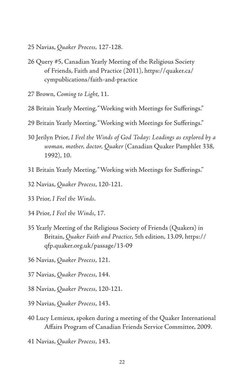- 25 Navias, *Quaker Process,* 127-128.
- 26 Query #5, Canadian Yearly Meeting of the Religious Society of Friends, Faith and Practice (2011), https://quaker.ca/ cympublications/faith-and-practice
- 27 Brown, *Coming to Light*, 11.
- 28 Britain Yearly Meeting, "Working with Meetings for Sufferings."
- 29 Britain Yearly Meeting, "Working with Meetings for Sufferings."
- 30 Jerilyn Prior, *I Feel the Winds of God Today: Leadings as explored by a woman, mother, doctor, Quaker* (Canadian Quaker Pamphlet 338, 1992), 10.
- 31 Britain Yearly Meeting, "Working with Meetings for Sufferings."
- 32 Navias, *Quaker Process*, 120-121.
- 33 Prior, *I Feel the Winds*.
- 34 Prior, *I Feel the Winds*, 17.
- 35 Yearly Meeting of the Religious Society of Friends (Quakers) in Britain, *Quaker Faith and Practice*, 5th edition, 13.09, https:// qfp.quaker.org.uk/passage/13-09
- 36 Navias, *Quaker Process*, 121.
- 37 Navias, *Quaker Process*, 144.
- 38 Navias, *Quaker Process*, 120-121.
- 39 Navias, *Quaker Process*, 143.
- 40 Lucy Lemieux, spoken during a meeting of the Quaker International Affairs Program of Canadian Friends Service Committee, 2009.
- 41 Navias, *Quaker Process*, 143.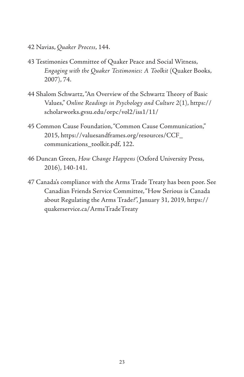- 42 Navias, *Quaker Process*, 144.
- 43 Testimonies Committee of Quaker Peace and Social Witness, *Engaging with the Quaker Testimonies: A Toolkit* (Quaker Books, 2007), 74.
- 44 Shalom Schwartz, "An Overview of the Schwartz Theory of Basic Values," *Online Readings in Psychology and Culture 2*(1), https:// scholarworks.gvsu.edu/orpc/vol2/iss1/11/
- 45 Common Cause Foundation, "Common Cause Communication," 2015, https://valuesandframes.org/resources/CCF\_ communications\_toolkit.pdf, 122.
- 46 Duncan Green, *How Change Happens* (Oxford University Press, 2016), 140-141.
- 47 Canada's compliance with the Arms Trade Treaty has been poor. See Canadian Friends Service Committee, "How Serious is Canada about Regulating the Arms Trade?", January 31, 2019, https:// quakerservice.ca/ArmsTradeTreaty